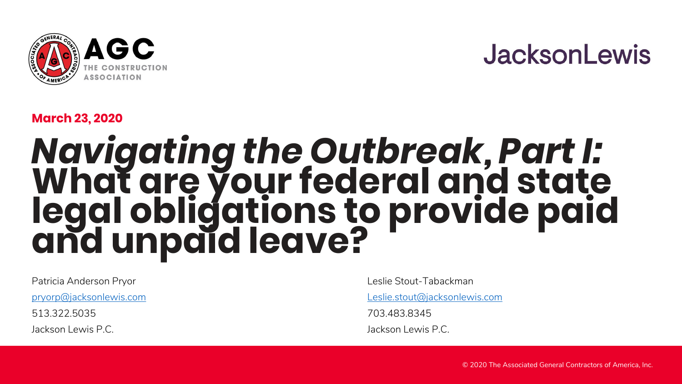

### **JacksonLewis**

#### **March 23, 2020**

## *Navigating the Outbreak, Part I:* **What are your federal and state legal obligations to provide paid and unpaid leave?**

Patricia Anderson Pryor

[pryorp@jacksonlewis.com](about:blank)

513.322.5035

Jackson Lewis P.C.

Leslie Stout-Tabackman

[Leslie.stout@jacksonlewis.com](about:blank)

703.483.8345

Jackson Lewis P.C.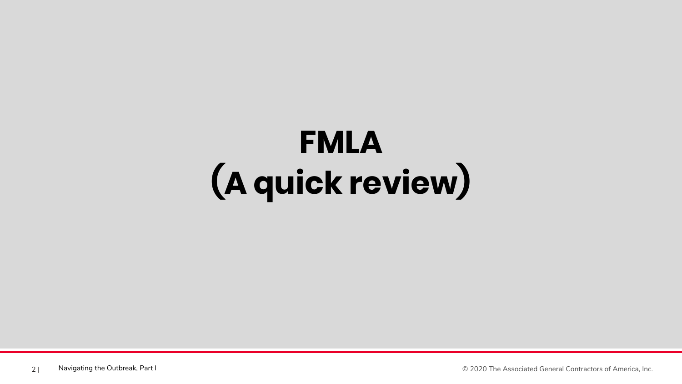## **FMLA (A quick review)**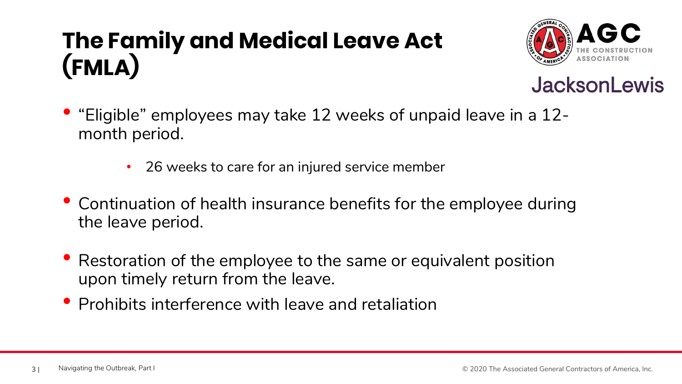### **The Family and Medical Leave Act (FMLA)**





- "Eligible" employees may take 12 weeks of unpaid leave in a 12 month period.
	- 26 weeks to care for an injured service member
- Continuation of health insurance benefits for the employee during the leave period.
- Restoration of the employee to the same or equivalent position upon timely return from the leave.
- Prohibits interference with leave and retaliation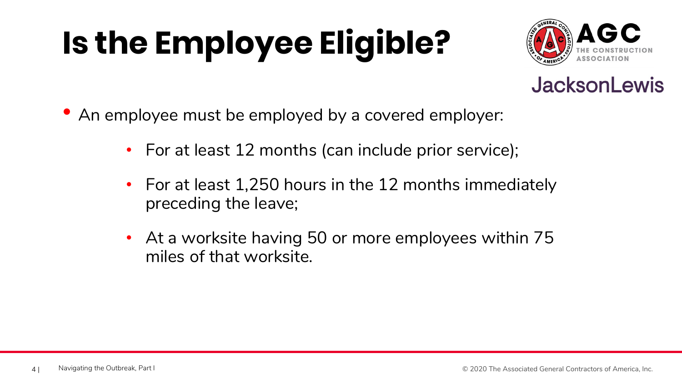# **Is the Employee Eligible?**





- An employee must be employed by a covered employer:
	- For at least 12 months (can include prior service);
	- For at least 1,250 hours in the 12 months immediately preceding the leave;
	- At a worksite having 50 or more employees within 75 miles of that worksite.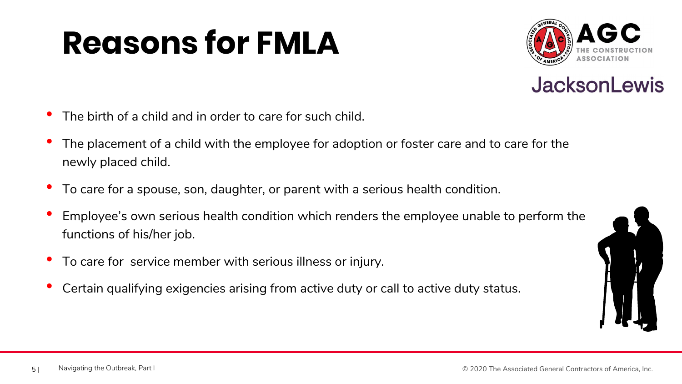## **Reasons for FMLA**





- The birth of a child and in order to care for such child.
- The placement of a child with the employee for adoption or foster care and to care for the newly placed child.
- To care for a spouse, son, daughter, or parent with a serious health condition.
- Employee's own serious health condition which renders the employee unable to perform the functions of his/her job.
- To care for service member with serious illness or injury.
- Certain qualifying exigencies arising from active duty or call to active duty status.

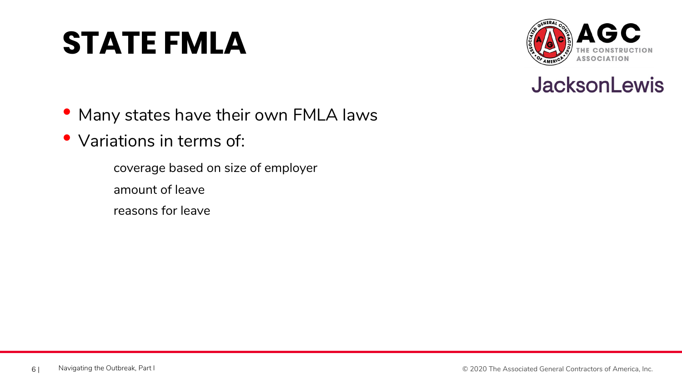## **STATE FMLA**





- Many states have their own FMLA laws
- Variations in terms of:
	- coverage based on size of employer amount of leave reasons for leave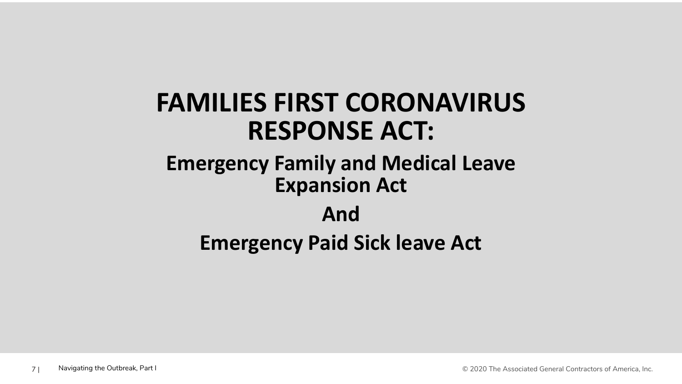### **FAMILIES FIRST CORONAVIRUS RESPONSE ACT:**

#### **Emergency Family and Medical Leave Expansion Act**

#### **And**

### **Emergency Paid Sick leave Act**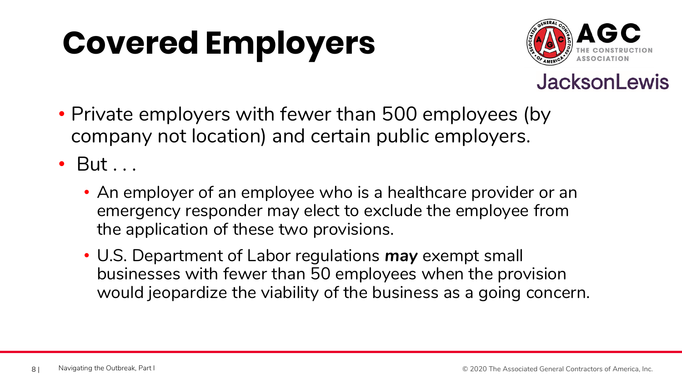## **Covered Employers**



#### **JacksonLewis**

• Private employers with fewer than 500 employees (by company not location) and certain public employers.

• But . . .

- An employer of an employee who is a healthcare provider or an emergency responder may elect to exclude the employee from the application of these two provisions.
- U.S. Department of Labor regulations *may* exempt small businesses with fewer than 50 employees when the provision would jeopardize the viability of the business as a going concern.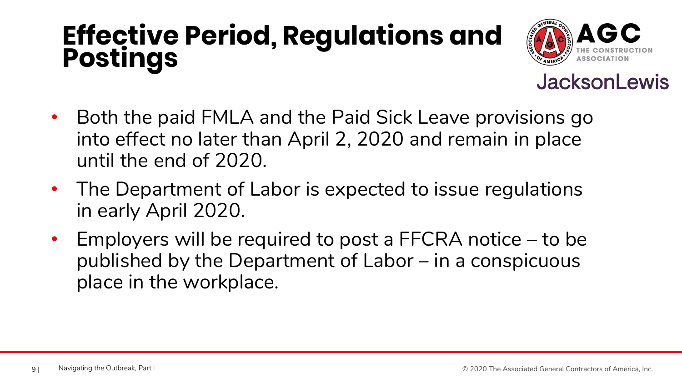### **Effective Period, Regulations and Postings**



- Both the paid FMLA and the Paid Sick Leave provisions go into effect no later than April 2, 2020 and remain in place until the end of 2020.
- The Department of Labor is expected to issue regulations in early April 2020.
- Employers will be required to post a FFCRA notice to be published by the Department of Labor – in a conspicuous place in the workplace.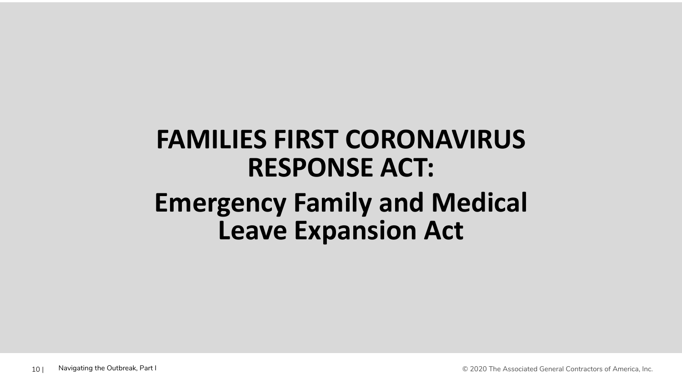### **FAMILIES FIRST CORONAVIRUS RESPONSE ACT: Emergency Family and Medical Leave Expansion Act**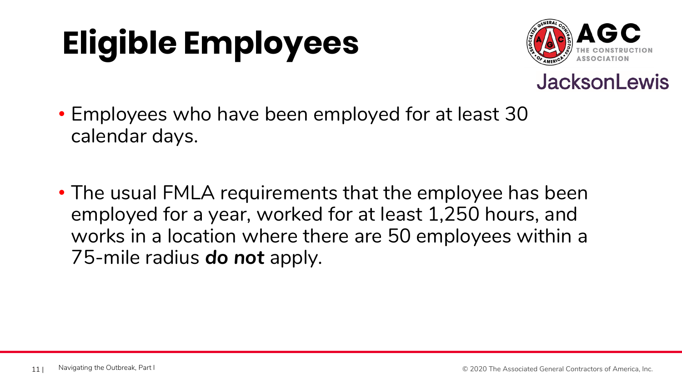# **Eligible Employees**





- Employees who have been employed for at least 30 calendar days.
- The usual FMLA requirements that the employee has been employed for a year, worked for at least 1,250 hours, and works in a location where there are 50 employees within a 75-mile radius *do not* apply.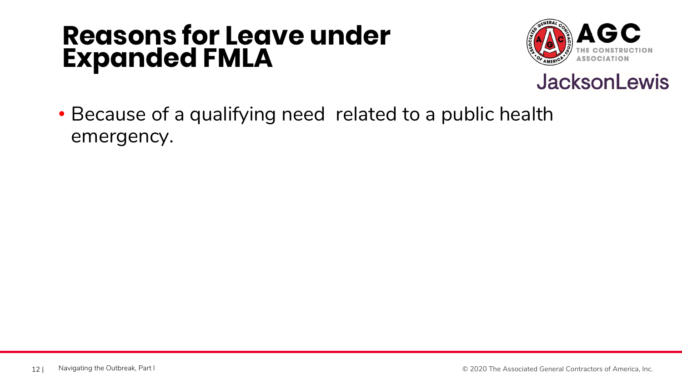### **Reasons for Leave under Expanded FMLA**





• Because of a qualifying need related to a public health emergency.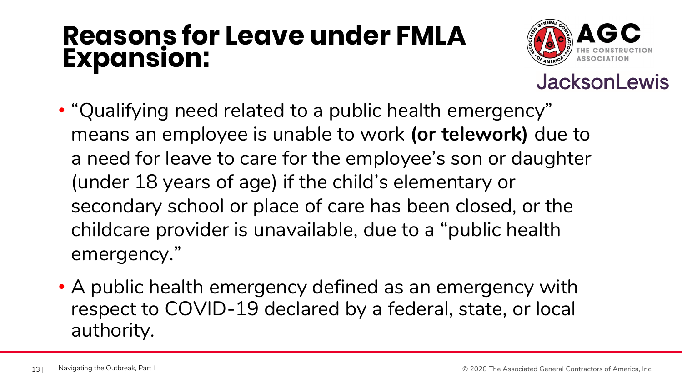### **Reasons for Leave under FMLA Expansion:**



- "Qualifying need related to a public health emergency" means an employee is unable to work **(or telework)** due to a need for leave to care for the employee's son or daughter (under 18 years of age) if the child's elementary or secondary school or place of care has been closed, or the childcare provider is unavailable, due to a "public health emergency."
- A public health emergency defined as an emergency with respect to COVID-19 declared by a federal, state, or local authority.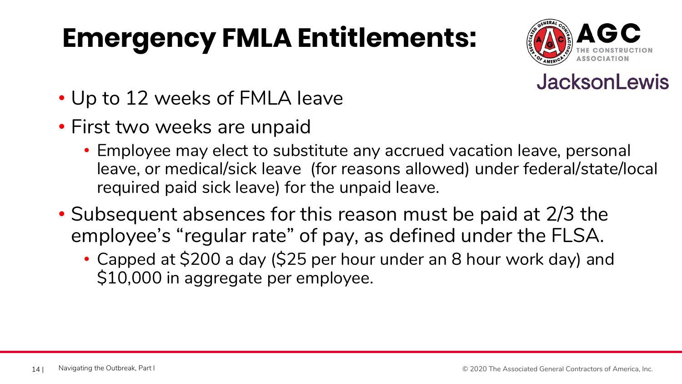## **Emergency FMLA Entitlements:**





- Up to 12 weeks of FMLA leave
- First two weeks are unpaid
	- Employee may elect to substitute any accrued vacation leave, personal leave, or medical/sick leave (for reasons allowed) under federal/state/local required paid sick leave) for the unpaid leave.
- Subsequent absences for this reason must be paid at 2/3 the employee's "regular rate" of pay, as defined under the FLSA.
	- Capped at \$200 a day (\$25 per hour under an 8 hour work day) and \$10,000 in aggregate per employee.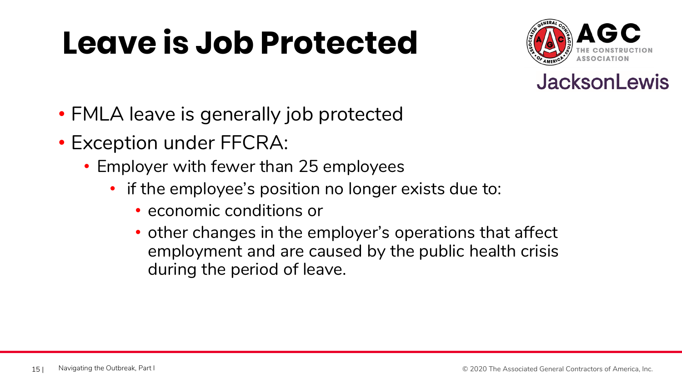## **Leave is Job Protected**





- FMLA leave is generally job protected
- Exception under FFCRA:
	- Employer with fewer than 25 employees
		- if the employee's position no longer exists due to:
			- economic conditions or
			- other changes in the employer's operations that affect employment and are caused by the public health crisis during the period of leave.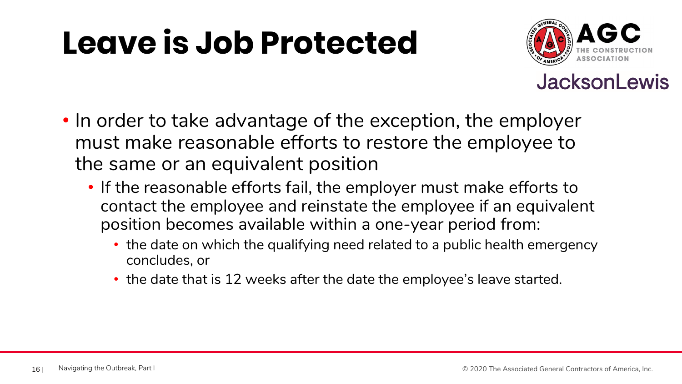## **Leave is Job Protected**



- In order to take advantage of the exception, the employer must make reasonable efforts to restore the employee to the same or an equivalent position
	- If the reasonable efforts fail, the employer must make efforts to contact the employee and reinstate the employee if an equivalent position becomes available within a one-year period from:
		- the date on which the qualifying need related to a public health emergency concludes, or
		- the date that is 12 weeks after the date the employee's leave started.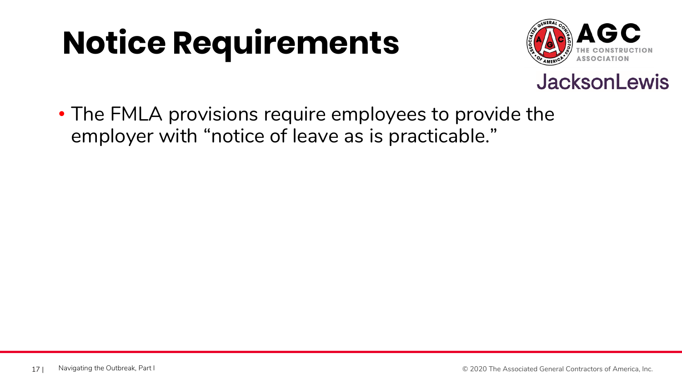## **Notice Requirements**



#### **JacksonLewis**

• The FMLA provisions require employees to provide the employer with "notice of leave as is practicable."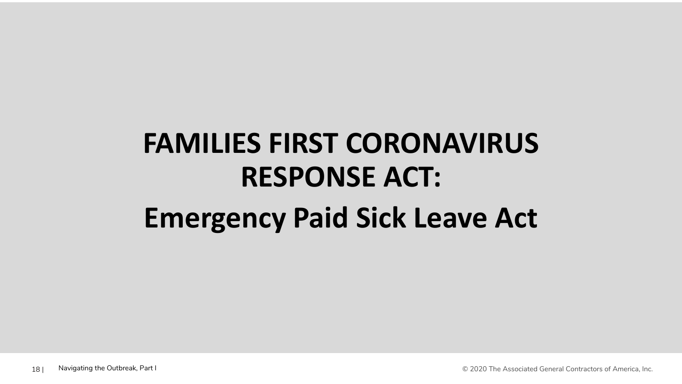## **FAMILIES FIRST CORONAVIRUS RESPONSE ACT: Emergency Paid Sick Leave Act**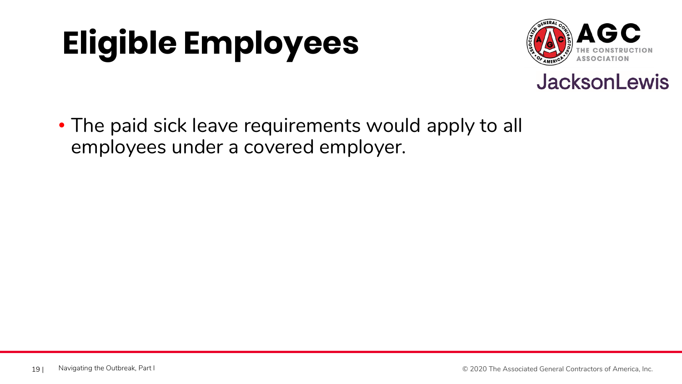# **Eligible Employees**





• The paid sick leave requirements would apply to all employees under a covered employer.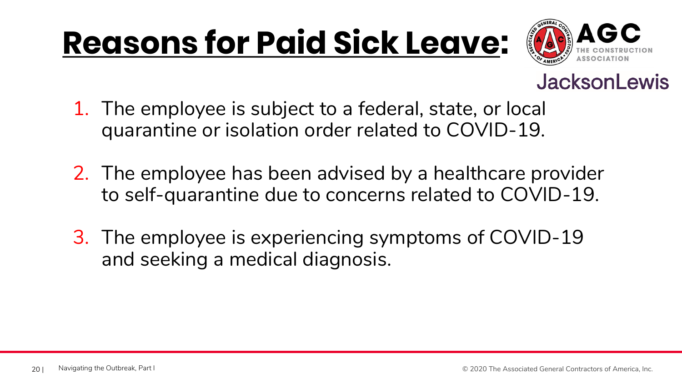## **Reasons for Paid Sick Leave:**



- 1. The employee is subject to a federal, state, or local quarantine or isolation order related to COVID-19.
- 2. The employee has been advised by a healthcare provider to self-quarantine due to concerns related to COVID-19.
- 3. The employee is experiencing symptoms of COVID-19 and seeking a medical diagnosis.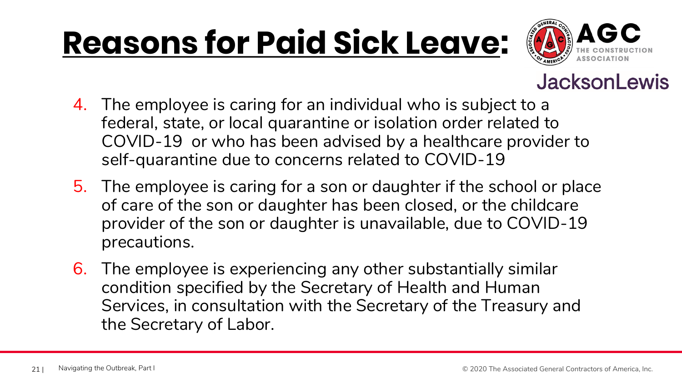## **Reasons for Paid Sick Leave:**



- 4. The employee is caring for an individual who is subject to a federal, state, or local quarantine or isolation order related to COVID-19 or who has been advised by a healthcare provider to self-quarantine due to concerns related to COVID-19
- 5. The employee is caring for a son or daughter if the school or place of care of the son or daughter has been closed, or the childcare provider of the son or daughter is unavailable, due to COVID-19 precautions.
- 6. The employee is experiencing any other substantially similar condition specified by the Secretary of Health and Human Services, in consultation with the Secretary of the Treasury and the Secretary of Labor.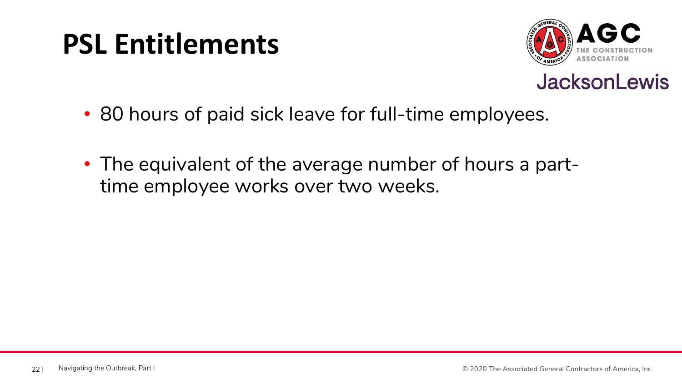### **PSL Entitlements**





- 80 hours of paid sick leave for full-time employees.
- The equivalent of the average number of hours a parttime employee works over two weeks.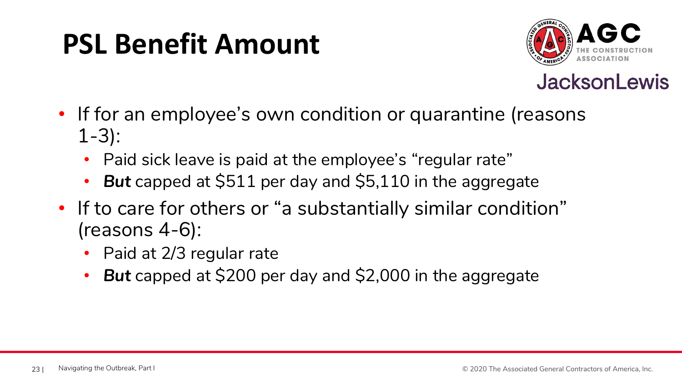### **PSL Benefit Amount**



- If for an employee's own condition or quarantine (reasons 1-3):
	- Paid sick leave is paid at the employee's "regular rate"
	- *But* capped at \$511 per day and \$5,110 in the aggregate
- If to care for others or "a substantially similar condition" (reasons 4-6):
	- Paid at 2/3 regular rate
	- *But* capped at \$200 per day and \$2,000 in the aggregate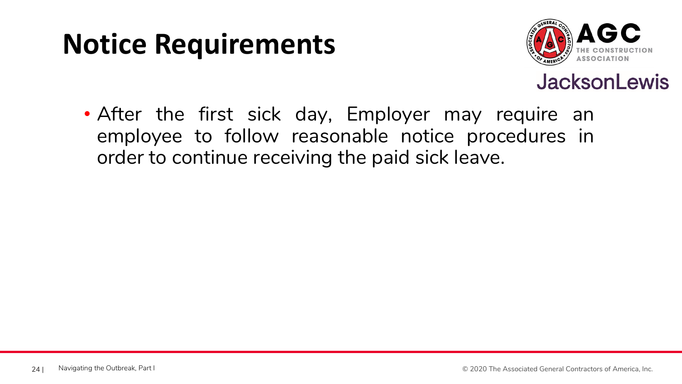### **Notice Requirements**



#### **JacksonLewis**

• After the first sick day, Employer may require an employee to follow reasonable notice procedures in order to continue receiving the paid sick leave.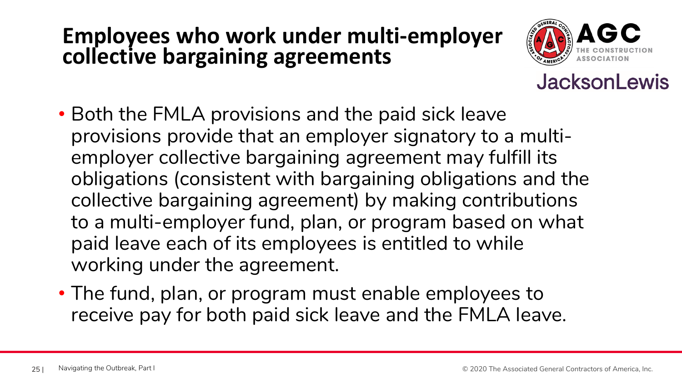#### **Employees who work under multi-employer collective bargaining agreements**



- Both the FMLA provisions and the paid sick leave provisions provide that an employer signatory to a multiemployer collective bargaining agreement may fulfill its obligations (consistent with bargaining obligations and the collective bargaining agreement) by making contributions to a multi-employer fund, plan, or program based on what paid leave each of its employees is entitled to while working under the agreement.
- The fund, plan, or program must enable employees to receive pay for both paid sick leave and the FMLA leave.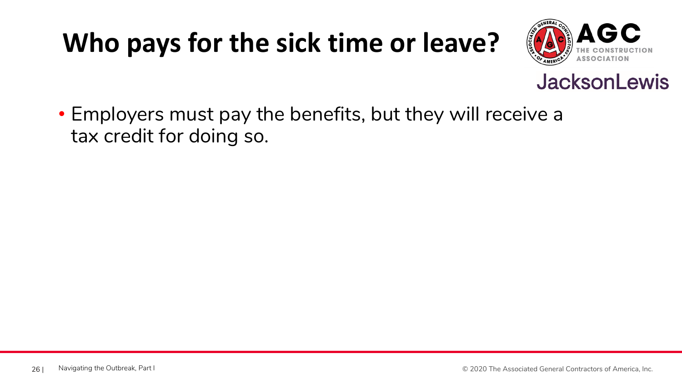### **Who pays for the sick time or leave?**



#### **JacksonLewis**

• Employers must pay the benefits, but they will receive a tax credit for doing so.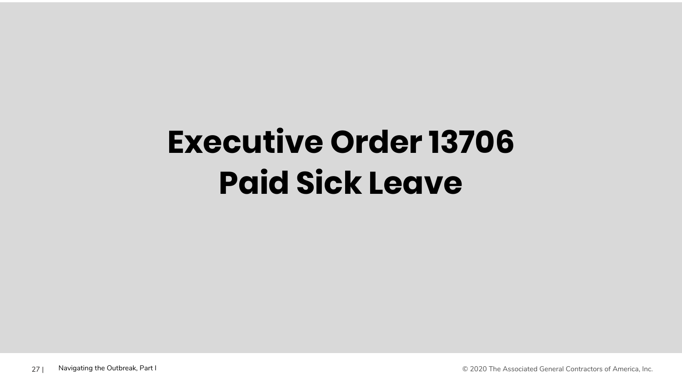## **Executive Order 13706 Paid Sick Leave**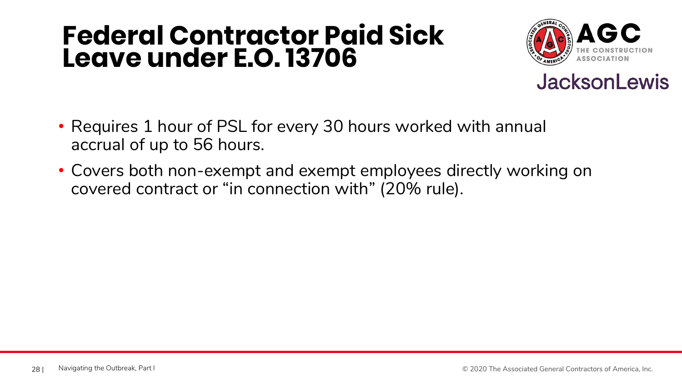### **Federal Contractor Paid Sick Leave under E.O. 13706**





- Requires 1 hour of PSL for every 30 hours worked with annual accrual of up to 56 hours.
- Covers both non-exempt and exempt employees directly working on covered contract or "in connection with" (20% rule).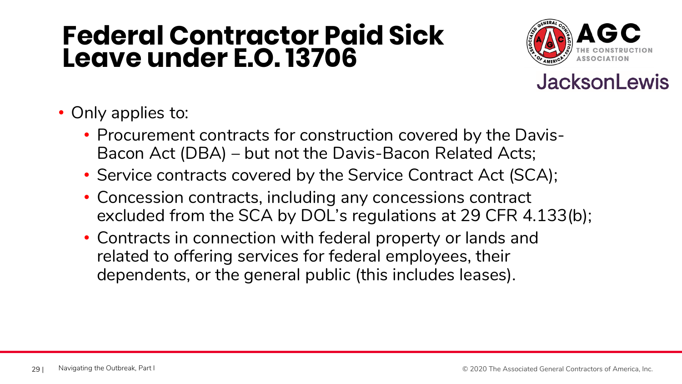### **Federal Contractor Paid Sick Leave under E.O. 13706**





- Only applies to:
	- Procurement contracts for construction covered by the Davis-Bacon Act (DBA) – but not the Davis-Bacon Related Acts;
	- Service contracts covered by the Service Contract Act (SCA);
	- Concession contracts, including any concessions contract excluded from the SCA by DOL's regulations at 29 CFR 4.133(b);
	- Contracts in connection with federal property or lands and related to offering services for federal employees, their dependents, or the general public (this includes leases).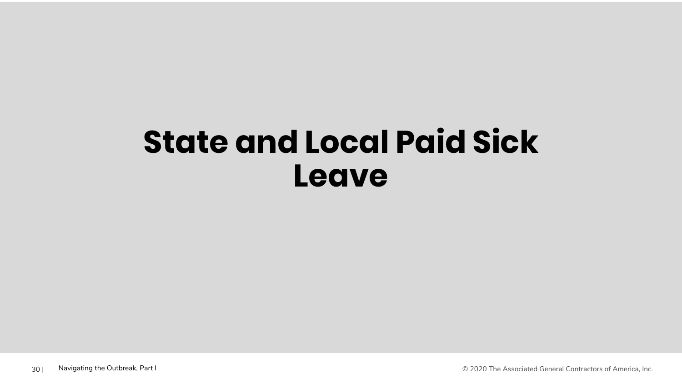## **State and Local Paid Sick Leave**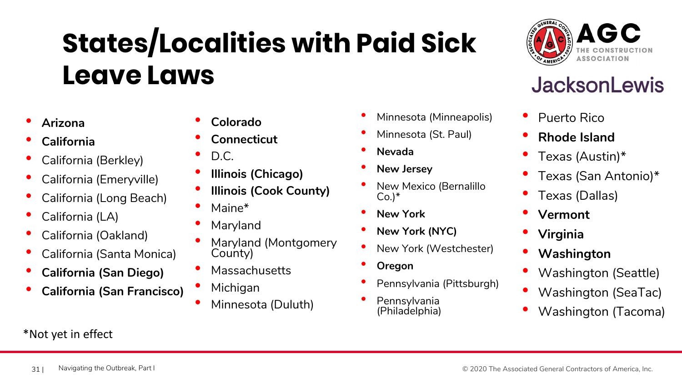## **States/Localities with Paid Sick Leave Laws**

- **Arizona**
- **California**
- California (Berkley)
- California (Emeryville)
- California (Long Beach)
- California (LA)
- California (Oakland)
- California (Santa Monica)
- **California (San Diego)**
- **California (San Francisco)**

#### \*Not yet in effect

- **Colorado**
- **Connecticut**
- D.C.
- **Illinois (Chicago)**
- **Illinois (Cook County)**
- Maine<sup>\*</sup>
- Maryland
- Maryland (Montgomery County)
- **Massachusetts**
- **Michigan**
- Minnesota (Duluth)

#### • Minnesota (Minneapolis)

- Minnesota (St. Paul)
- **Nevada**
- **New Jersey**
- New Mexico (Bernalillo  $Co.$ <sup>\*</sup>
- **New York**
- **New York (NYC)**
- New York (Westchester)
- **Oregon**
- Pennsylvania (Pittsburgh)
- **Pennsylvania** (Philadelphia)



- Puerto Rico
- **Rhode Island**
- Texas (Austin)\*
- Texas (San Antonio)\*
- Texas (Dallas)
- **Vermont**
- **Virginia**
- **Washington**
- Washington (Seattle)
- Washington (SeaTac)
- Washington (Tacoma)